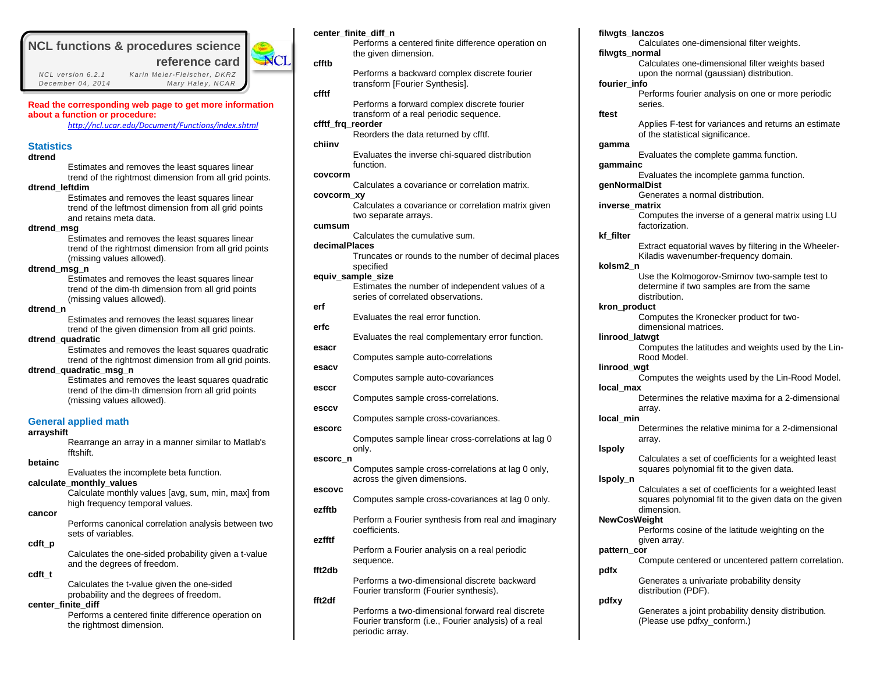# **NCL functions & procedures science**

 *NCL vers ion 6.2.1 Kar in Me ie r-Fle ischer, DKRZ December 04 , 2014 Mary Hale y, NCAR*



**center\_finite\_diff\_n**

**Read the corresponding web page to get more information about a function or procedure:**

*<http://ncl.ucar.edu/Document/Functions/index.shtml>*

## **Statistics**

### **dtrend**

Estimates and removes the least squares linear trend of the rightmost dimension from all grid points.

**dtrend\_leftdim**

Estimates and removes the least squares linear trend of the leftmost dimension from all grid points and retains meta data.

### **dtrend\_msg**

Estimates and removes the least squares linear trend of the rightmost dimension from all grid points (missing values allowed).

### **dtrend\_msg\_n**

Estimates and removes the least squares linear trend of the dim-th dimension from all grid points (missing values allowed).

## **dtrend\_n**

Estimates and removes the least squares linear trend of the given dimension from all grid points.

### **dtrend\_quadratic**

Estimates and removes the least squares quadratic trend of the rightmost dimension from all grid points.

### **dtrend\_quadratic\_msg\_n**

Estimates and removes the least squares quadratic trend of the dim-th dimension from all grid points (missing values allowed).

## **General applied math**

### **arrayshift**

Rearrange an array in a manner similar to Matlab's fftshift.

## **betainc**

Evaluates the incomplete beta function.

### **calculate\_monthly\_values**

Calculate monthly values [avg, sum, min, max] from high frequency temporal values.

#### **cancor**

Performs canonical correlation analysis between two sets of variables.

#### **cdft\_p**

Calculates the one-sided probability given a t-value and the degrees of freedom.

## **cdft\_t**

Calculates the t-value given the one-sided probability and the degrees of freedom.

## **center\_finite\_diff**

Performs a centered finite difference operation on the rightmost dimension.

|                   | Performs a centered finite difference operation on<br>the given dimension.                                 |
|-------------------|------------------------------------------------------------------------------------------------------------|
| cfftb             | Performs a backward complex discrete fourier                                                               |
| cfftf             | transform [Fourier Synthesis].                                                                             |
| cfftf frg reorder | Performs a forward complex discrete fourier<br>transform of a real periodic sequence.                      |
|                   | Reorders the data returned by cfftf.                                                                       |
| chiinv            | Evaluates the inverse chi-squared distribution<br>function.                                                |
| covcorm           | Calculates a covariance or correlation matrix.                                                             |
| covcorm xy        | Calculates a covariance or correlation matrix given                                                        |
| cumsum            | two separate arrays.                                                                                       |
| decimalPlaces     | Calculates the cumulative sum.                                                                             |
|                   | Truncates or rounds to the number of decimal places<br>specified                                           |
|                   | equiv_sample_size<br>Estimates the number of independent values of a<br>series of correlated observations. |
| erf               | Evaluates the real error function.                                                                         |
| erfc              |                                                                                                            |
| esacr             | Evaluates the real complementary error function.                                                           |
| esacv             | Computes sample auto-correlations                                                                          |
| esccr             | Computes sample auto-covariances                                                                           |
| esccv             | Computes sample cross-correlations.                                                                        |
|                   | Computes sample cross-covariances.                                                                         |
| escorc            | Computes sample linear cross-correlations at lag 0<br>only.                                                |
| escorc_n          | Computes sample cross-correlations at lag 0 only,                                                          |
| escovc            | across the given dimensions.                                                                               |
| ezfftb            | Computes sample cross-covariances at lag 0 only.                                                           |
|                   | Perform a Fourier synthesis from real and imaginary<br>coefficients.                                       |
| ezfftf            | Perform a Fourier analysis on a real periodic                                                              |
| fft2db            | sequence.                                                                                                  |
|                   | Performs a two-dimensional discrete backward<br>Fourier transform (Fourier synthesis).                     |
| fft2df            | Performs a two-dimensional forward real discrete<br>Fourier transform (i.e., Fourier analysis) of a real   |

periodic array.

**filwgts\_normal** Calculates one-dimensional filter weights based upon the normal (gaussian) distribution. **fourier\_info** Performs fourier analysis on one or more periodic series. **ftest** Applies F-test for variances and returns an estimate of the statistical significance. **gamma** Evaluates the complete gamma function. **gammainc** Evaluates the incomplete gamma function. **genNormalDist** Generates a normal distribution. **inverse\_matrix** Computes the inverse of a general matrix using LU factorization. **kf\_filter** Extract equatorial waves by filtering in the Wheeler-Kiladis wavenumber-frequency domain. **kolsm2\_n** Use the Kolmogorov-Smirnov two-sample test to determine if two samples are from the same distribution. **kron\_product** Computes the Kronecker product for twodimensional matrices. **linrood\_latwgt** Computes the latitudes and weights used by the Lin-Rood Model. **linrood\_wgt** Computes the weights used by the Lin-Rood Model. **local\_max** Determines the relative maxima for a 2-dimensional array. **local\_min** Determines the relative minima for a 2-dimensional array. **lspoly** Calculates a set of coefficients for a weighted least squares polynomial fit to the given data. **lspoly\_n** Calculates a set of coefficients for a weighted least squares polynomial fit to the given data on the given dimension. **NewCosWeight** Performs cosine of the latitude weighting on the given array. **pattern\_cor** Compute centered or uncentered pattern correlation. **pdfx** Generates a univariate probability density distribution (PDF). **pdfxy** Generates a joint probability density distribution. (Please use pdfxy\_conform.)

Calculates one-dimensional filter weights.

**filwgts\_lanczos**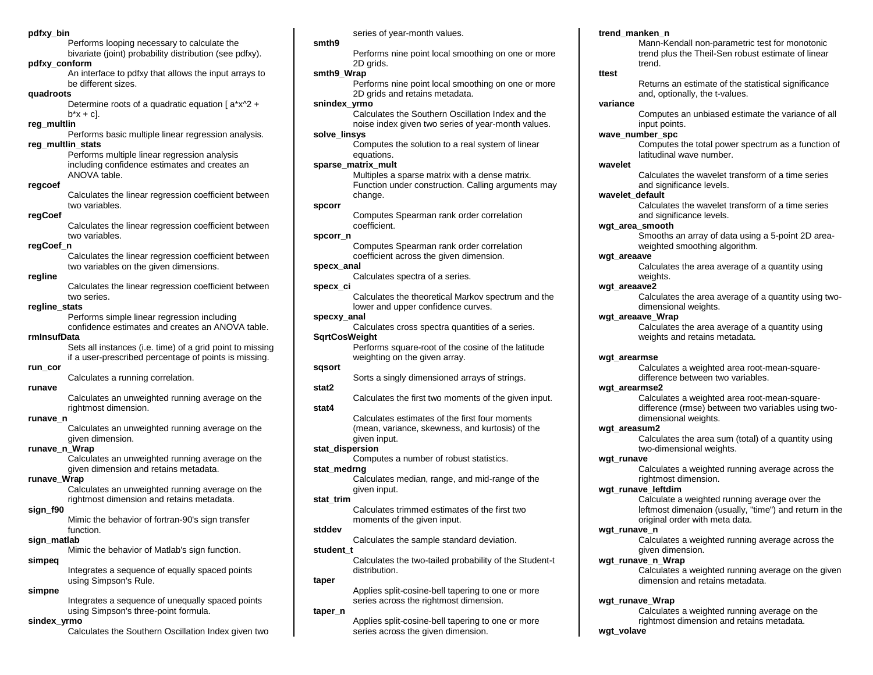### **pdfxy\_bin**

Performs looping necessary to calculate the bivariate (joint) probability distribution (see pdfxy).

### **pdfxy\_conform**

An interface to pdfxy that allows the input arrays to be different sizes.

### **quadroots**

Determine roots of a quadratic equation [ a\*x^2 +  $b*x + c$ ].

## **reg\_multlin**

Performs basic multiple linear regression analysis.

## **reg\_multlin\_stats**

Performs multiple linear regression analysis including confidence estimates and creates an ANOVA table.

#### **regcoef**

Calculates the linear regression coefficient between two variables.

### **regCoef**

Calculates the linear regression coefficient between two variables.

### **regCoef\_n**

Calculates the linear regression coefficient between two variables on the given dimensions.

### **regline**

Calculates the linear regression coefficient between two series.

### **regline\_stats**

Performs simple linear regression including confidence estimates and creates an ANOVA table.

## **rmInsufData**

Sets all instances (i.e. time) of a grid point to missing if a user-prescribed percentage of points is missing.

## **run\_cor**

Calculates a running correlation.

### **runave**

Calculates an unweighted running average on the rightmost dimension.

## **runave\_n**

Calculates an unweighted running average on the given dimension.

## **runave\_n\_Wrap**

Calculates an unweighted running average on the given dimension and retains metadata.

## **runave\_Wrap**

Calculates an unweighted running average on the rightmost dimension and retains metadata.

## **sign\_f90**

Mimic the behavior of fortran-90's sign transfer function.

## **sign\_matlab**

Mimic the behavior of Matlab's sign function.

## **simpeq**

Integrates a sequence of equally spaced points using Simpson's Rule.

## **simpne**

Integrates a sequence of unequally spaced points using Simpson's three-point formula.

## **sindex\_yrmo**

Calculates the Southern Oscillation Index given two

series of year-month values.

## **smth9**

Performs nine point local smoothing on one or more 2D grids.

## **smth9\_Wrap**

Performs nine point local smoothing on one or more 2D grids and retains metadata.

## **snindex\_yrmo**

Calculates the Southern Oscillation Index and the noise index given two series of year-month values.

## **solve\_linsys**

Computes the solution to a real system of linear equations.

## **sparse\_matrix\_mult**

Multiples a sparse matrix with a dense matrix. Function under construction. Calling arguments may change.

### **spcorr**

Computes Spearman rank order correlation coefficient.

## **spcorr\_n**

Computes Spearman rank order correlation coefficient across the given dimension.

## **specx\_anal**

Calculates spectra of a series.

### **specx\_ci**

Calculates the theoretical Markov spectrum and the lower and upper confidence curves.

## **specxy\_anal**

Calculates cross spectra quantities of a series. **SqrtCosWeight**

> Performs square-root of the cosine of the latitude weighting on the given array.

## **sqsort**

Sorts a singly dimensioned arrays of strings.

## **stat2**

Calculates the first two moments of the given input.

## **stat4**

Calculates estimates of the first four moments (mean, variance, skewness, and kurtosis) of the given input.

## **stat\_dispersion**

Computes a number of robust statistics.

## **stat\_medrng**

Calculates median, range, and mid-range of the given input.

## **stat\_trim**

Calculates trimmed estimates of the first two moments of the given input.

## **stddev**

Calculates the sample standard deviation.

## **student\_t**

Calculates the two-tailed probability of the Student-t distribution.

### **taper**

Applies split-cosine-bell tapering to one or more series across the rightmost dimension.

### **taper\_n**

Applies split-cosine-bell tapering to one or more series across the given dimension.

### **trend\_manken\_n**

Mann-Kendall non-parametric test for monotonic trend plus the Theil-Sen robust estimate of linear trend.

### **ttest**

Returns an estimate of the statistical significance and, optionally, the t-values.

## **variance**

Computes an unbiased estimate the variance of all input points.

## **wave\_number\_spc**

Computes the total power spectrum as a function of latitudinal wave number.

### **wavelet**

Calculates the wavelet transform of a time series and significance levels.

## **wavelet\_default**

Calculates the wavelet transform of a time series and significance levels.

## **wgt\_area\_smooth**

dimensional weights.

dimensional weights.

rightmost dimension.

given dimension.

two-dimensional weights.

original order with meta data.

dimension and retains metadata.

weights and retains metadata.

difference between two variables.

Smooths an array of data using a 5-point 2D areaweighted smoothing algorithm.

Calculates the area average of a quantity using two-

### **wgt\_areaave**

**wgt\_areaave2**

**wgt\_arearmse**

**wgt\_arearmse2**

**wgt\_areasum2**

**wgt\_runave\_leftdim**

**wgt\_runave\_n\_Wrap**

**wgt\_runave\_Wrap**

**wgt\_volave**

**wgt\_runave**

**wgt\_runave\_n**

**wgt\_areaave\_Wrap**

Calculates the area average of a quantity using weights.

Calculates the area average of a quantity using

Calculates a weighted area root-mean-square-

Calculates a weighted area root-mean-squaredifference (rmse) between two variables using two-

Calculates the area sum (total) of a quantity using

Calculates a weighted running average across the

Calculates a weighted running average across the

Calculates a weighted running average on the given

Calculates a weighted running average on the rightmost dimension and retains metadata.

Calculate a weighted running average over the leftmost dimenaion (usually, "time") and return in the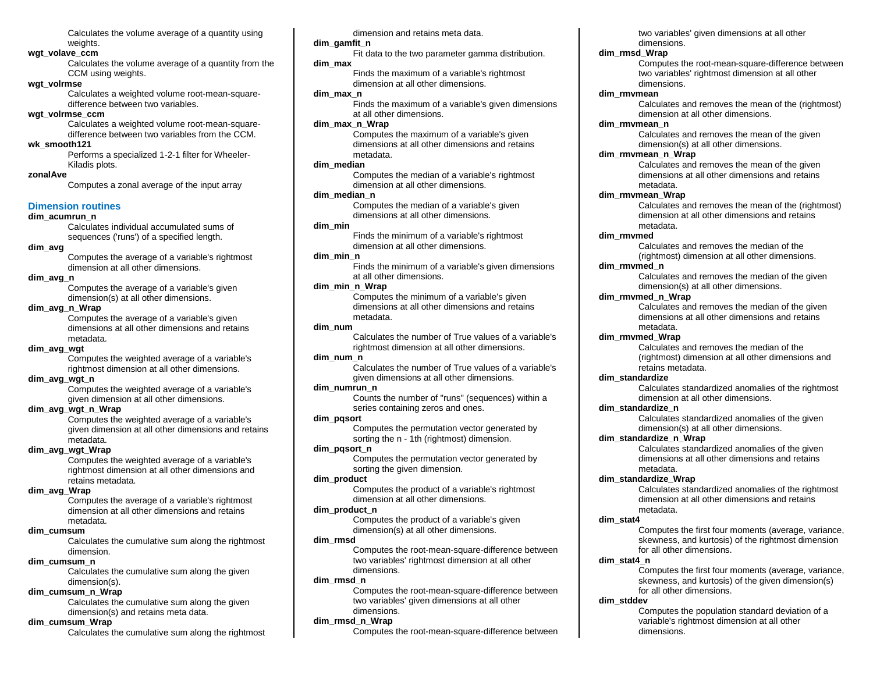Calculates the volume average of a quantity using weights.

### **wgt\_volave\_ccm**

Calculates the volume average of a quantity from the CCM using weights.

### **wgt\_volrmse**

Calculates a weighted volume root-mean-squaredifference between two variables.

## **wgt\_volrmse\_ccm**

Calculates a weighted volume root-mean-squaredifference between two variables from the CCM.

## **wk\_smooth121**

Performs a specialized 1-2-1 filter for Wheeler-Kiladis plots.

## **zonalAve**

Computes a zonal average of the input array

## **Dimension routines**

### **dim\_acumrun\_n**

Calculates individual accumulated sums of sequences ('runs') of a specified length.

## **dim\_avg**

Computes the average of a variable's rightmost dimension at all other dimensions.

### **dim\_avg\_n**

Computes the average of a variable's given dimension(s) at all other dimensions.

## **dim\_avg\_n\_Wrap**

Computes the average of a variable's given dimensions at all other dimensions and retains metadata.

### **dim\_avg\_wgt**

Computes the weighted average of a variable's rightmost dimension at all other dimensions.

### **dim\_avg\_wgt\_n**

Computes the weighted average of a variable's given dimension at all other dimensions.

### **dim\_avg\_wgt\_n\_Wrap**

Computes the weighted average of a variable's given dimension at all other dimensions and retains metadata.

## **dim\_avg\_wgt\_Wrap**

Computes the weighted average of a variable's rightmost dimension at all other dimensions and retains metadata.

## **dim\_avg\_Wrap**

Computes the average of a variable's rightmost dimension at all other dimensions and retains metadata.

### **dim\_cumsum**

Calculates the cumulative sum along the rightmost dimension.

## **dim\_cumsum\_n**

Calculates the cumulative sum along the given dimension(s).

## **dim\_cumsum\_n\_Wrap**

Calculates the cumulative sum along the given dimension(s) and retains meta data.

## **dim\_cumsum\_Wrap**

Calculates the cumulative sum along the rightmost

dimension and retains meta data.

## **dim\_gamfit\_n**

Fit data to the two parameter gamma distribution. **dim\_max** 

Finds the maximum of a variable's rightmost dimension at all other dimensions.

## **dim\_max\_n**

Finds the maximum of a variable's given dimensions at all other dimensions.

### **dim\_max\_n\_Wrap**

Computes the maximum of a variable's given dimensions at all other dimensions and retains metadata.

#### **dim\_median**

Computes the median of a variable's rightmost dimension at all other dimensions.

## **dim\_median\_n**

Computes the median of a variable's given dimensions at all other dimensions.

## **dim\_min**

Finds the minimum of a variable's rightmost dimension at all other dimensions.

### **dim\_min\_n**

Finds the minimum of a variable's given dimensions at all other dimensions.

## **dim\_min\_n\_Wrap**

Computes the minimum of a variable's given dimensions at all other dimensions and retains metadata.

### **dim\_num**

Calculates the number of True values of a variable's rightmost dimension at all other dimensions.

## **dim\_num\_n**

Calculates the number of True values of a variable's given dimensions at all other dimensions.

## **dim\_numrun\_n**

Counts the number of "runs" (sequences) within a series containing zeros and ones.

### **dim\_pqsort**

Computes the permutation vector generated by sorting the n - 1th (rightmost) dimension.

## **dim\_pqsort\_n**

Computes the permutation vector generated by sorting the given dimension.

## **dim\_product**

Computes the product of a variable's rightmost dimension at all other dimensions.

## **dim\_product\_n**

Computes the product of a variable's given dimension(s) at all other dimensions.

### **dim\_rmsd**

Computes the root-mean-square-difference between two variables' rightmost dimension at all other dimensions.

## **dim\_rmsd\_n**

Computes the root-mean-square-difference between two variables' given dimensions at all other dimensions.

### **dim\_rmsd\_n\_Wrap**

Computes the root-mean-square-difference between

two variables' given dimensions at all other dimensions.

### **dim\_rmsd\_Wrap**

Computes the root-mean-square-difference between two variables' rightmost dimension at all other dimensions.

### **dim\_rmvmean**

Calculates and removes the mean of the (rightmost) dimension at all other dimensions.

### **dim\_rmvmean\_n**

Calculates and removes the mean of the given dimension(s) at all other dimensions.

### **dim\_rmvmean\_n\_Wrap**

Calculates and removes the mean of the given dimensions at all other dimensions and retains metadata.

## **dim\_rmvmean\_Wrap**

Calculates and removes the mean of the (rightmost) dimension at all other dimensions and retains metadata.

### **dim\_rmvmed**

Calculates and removes the median of the (rightmost) dimension at all other dimensions.

## **dim\_rmvmed\_n**

Calculates and removes the median of the given dimension(s) at all other dimensions.

### **dim\_rmvmed\_n\_Wrap**

Calculates and removes the median of the given dimensions at all other dimensions and retains metadata.

### **dim\_rmvmed\_Wrap**

Calculates and removes the median of the (rightmost) dimension at all other dimensions and retains metadata.

### **dim\_standardize**

Calculates standardized anomalies of the rightmost dimension at all other dimensions.

### **dim\_standardize\_n**

Calculates standardized anomalies of the given dimension(s) at all other dimensions.

dimensions at all other dimensions and retains

Calculates standardized anomalies of the rightmost dimension at all other dimensions and retains

Computes the first four moments (average, variance, skewness, and kurtosis) of the rightmost dimension

Computes the first four moments (average, variance, skewness, and kurtosis) of the given dimension(s)

Computes the population standard deviation of a variable's rightmost dimension at all other

### **dim\_standardize\_n\_Wrap** Calculates standardized anomalies of the given

metadata. **dim\_standardize\_Wrap**

metadata.

dimensions.

for all other dimensions.

for all other dimensions.

**dim\_stat4**

**dim\_stat4\_n**

**dim\_stddev**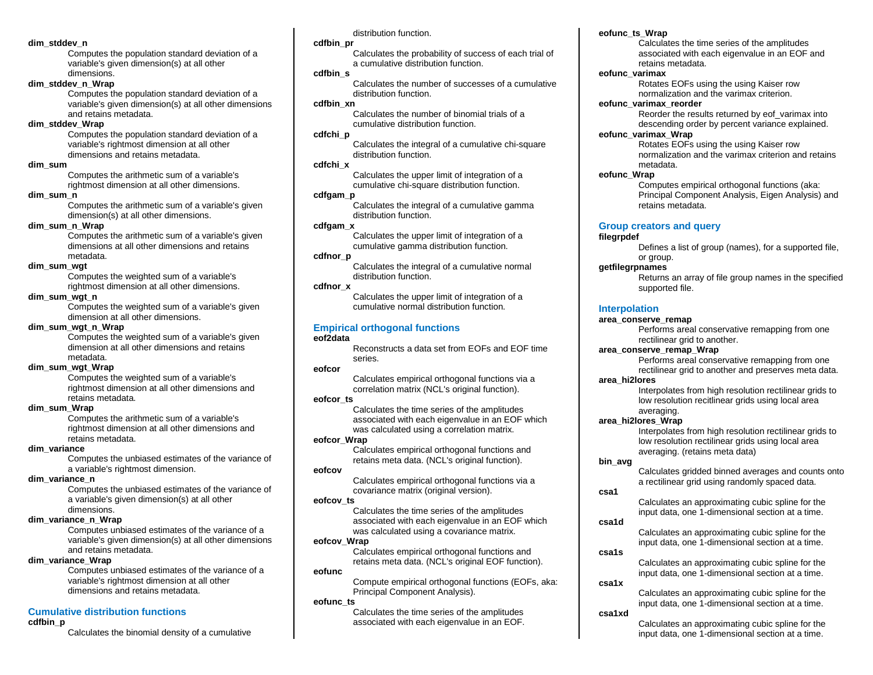### **dim\_stddev\_n**

Computes the population standard deviation of a variable's given dimension(s) at all other dimensions.

## **dim\_stddev\_n\_Wrap**

Computes the population standard deviation of a variable's given dimension(s) at all other dimensions and retains metadata.

## **dim\_stddev\_Wrap**

Computes the population standard deviation of a variable's rightmost dimension at all other dimensions and retains metadata.

### **dim\_sum**

Computes the arithmetic sum of a variable's rightmost dimension at all other dimensions.

### **dim\_sum\_n**

Computes the arithmetic sum of a variable's given dimension(s) at all other dimensions.

## **dim\_sum\_n\_Wrap**

Computes the arithmetic sum of a variable's given dimensions at all other dimensions and retains metadata.

## **dim\_sum\_wgt**

Computes the weighted sum of a variable's rightmost dimension at all other dimensions.

## **dim\_sum\_wgt\_n**

Computes the weighted sum of a variable's given dimension at all other dimensions.

### **dim\_sum\_wgt\_n\_Wrap**

Computes the weighted sum of a variable's given dimension at all other dimensions and retains metadata.

## **dim\_sum\_wgt\_Wrap**

Computes the weighted sum of a variable's rightmost dimension at all other dimensions and retains metadata.

## **dim\_sum\_Wrap**

Computes the arithmetic sum of a variable's rightmost dimension at all other dimensions and retains metadata.

## **dim\_variance**

Computes the unbiased estimates of the variance of a variable's rightmost dimension.

## **dim\_variance\_n**

Computes the unbiased estimates of the variance of a variable's given dimension(s) at all other dimensions.

## **dim\_variance\_n\_Wrap**

Computes unbiased estimates of the variance of a variable's given dimension(s) at all other dimensions and retains metadata.

### **dim\_variance\_Wrap**

Computes unbiased estimates of the variance of a variable's rightmost dimension at all other dimensions and retains metadata.

## **Cumulative distribution functions**

## **cdfbin\_p**

Calculates the binomial density of a cumulative

distribution function.

## **cdfbin\_pr**

Calculates the probability of success of each trial of a cumulative distribution function.

## **cdfbin\_s**

Calculates the number of successes of a cumulative distribution function.

## **cdfbin\_xn**

Calculates the number of binomial trials of a cumulative distribution function.

## **cdfchi\_p**

Calculates the integral of a cumulative chi-square distribution function.

## **cdfchi\_x**

Calculates the upper limit of integration of a cumulative chi-square distribution function.

## **cdfgam\_p**

Calculates the integral of a cumulative gamma distribution function.

## **cdfgam\_x**

Calculates the upper limit of integration of a cumulative gamma distribution function.

### **cdfnor\_p**

Calculates the integral of a cumulative normal distribution function.

### **cdfnor\_x**

Calculates the upper limit of integration of a cumulative normal distribution function.

## **Empirical orthogonal functions**

## **eof2data**

Reconstructs a data set from EOFs and EOF time series.

## **eofcor**

Calculates empirical orthogonal functions via a correlation matrix (NCL's original function).

## **eofcor\_ts**

Calculates the time series of the amplitudes associated with each eigenvalue in an EOF which was calculated using a correlation matrix.

## **eofcor\_Wrap**

Calculates empirical orthogonal functions and retains meta data. (NCL's original function).

## **eofcov**

Calculates empirical orthogonal functions via a covariance matrix (original version).

### **eofcov\_ts**

Calculates the time series of the amplitudes associated with each eigenvalue in an EOF which was calculated using a covariance matrix.

## **eofcov\_Wrap**

Calculates empirical orthogonal functions and retains meta data. (NCL's original EOF function).

## **eofunc**

Compute empirical orthogonal functions (EOFs, aka: Principal Component Analysis).

### **eofunc\_ts**

Calculates the time series of the amplitudes associated with each eigenvalue in an EOF.

## **eofunc\_ts\_Wrap**

Calculates the time series of the amplitudes associated with each eigenvalue in an EOF and retains metadata.

## **eofunc\_varimax**

Rotates EOFs using the using Kaiser row normalization and the varimax criterion.

## **eofunc\_varimax\_reorder**

Reorder the results returned by eof\_varimax into descending order by percent variance explained.

## **eofunc\_varimax\_Wrap**

Rotates EOFs using the using Kaiser row normalization and the varimax criterion and retains metadata.

## **eofunc\_Wrap**

Computes empirical orthogonal functions (aka: Principal Component Analysis, Eigen Analysis) and retains metadata.

## **Group creators and query**

### **filegrpdef**

Defines a list of group (names), for a supported file, or group.

### **getfilegrpnames**

Returns an array of file group names in the specified supported file.

## **Interpolation**

## **area\_conserve\_remap**

Performs areal conservative remapping from one rectilinear grid to another.

### **area\_conserve\_remap\_Wrap**

Performs areal conservative remapping from one rectilinear grid to another and preserves meta data.

## **area\_hi2lores**

Interpolates from high resolution rectilinear grids to low resolution recitlinear grids using local area averaging.

## **area\_hi2lores\_Wrap**

Interpolates from high resolution rectilinear grids to low resolution rectilinear grids using local area averaging. (retains meta data)

## **bin\_avg**

Calculates gridded binned averages and counts onto a rectilinear grid using randomly spaced data.

## **csa1**

Calculates an approximating cubic spline for the input data, one 1-dimensional section at a time.

Calculates an approximating cubic spline for the input data, one 1-dimensional section at a time.

Calculates an approximating cubic spline for the input data, one 1-dimensional section at a time.

Calculates an approximating cubic spline for the input data, one 1-dimensional section at a time.

Calculates an approximating cubic spline for the input data, one 1-dimensional section at a time.

## **csa1d**

**csa1s**

**csa1x**

**csa1xd**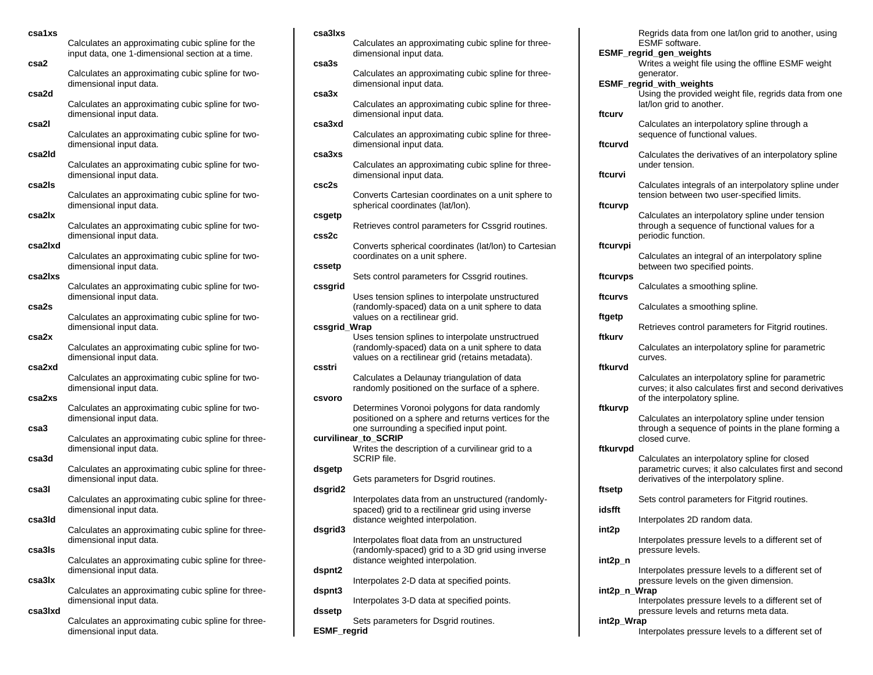|  | csa1xs  |                                                                                                      |
|--|---------|------------------------------------------------------------------------------------------------------|
|  |         | Calculates an approximating cubic spline for the<br>input data, one 1-dimensional section at a time. |
|  | csa2    | Calculates an approximating cubic spline for two-<br>dimensional input data.                         |
|  | csa2d   | Calculates an approximating cubic spline for two-<br>dimensional input data.                         |
|  | csa2l   | Calculates an approximating cubic spline for two-<br>dimensional input data.                         |
|  | csa2ld  | Calculates an approximating cubic spline for two-<br>dimensional input data.                         |
|  | csa2ls  | Calculates an approximating cubic spline for two-                                                    |
|  | csa2lx  | dimensional input data.<br>Calculates an approximating cubic spline for two-                         |
|  | csa2lxd | dimensional input data.<br>Calculates an approximating cubic spline for two-                         |
|  | csa2lxs | dimensional input data.                                                                              |
|  | csa2s   | Calculates an approximating cubic spline for two-<br>dimensional input data.                         |
|  | csa2x   | Calculates an approximating cubic spline for two-<br>dimensional input data.                         |
|  | csa2xd  | Calculates an approximating cubic spline for two-<br>dimensional input data.                         |
|  |         | Calculates an approximating cubic spline for two-<br>dimensional input data.                         |
|  | csa2xs  | Calculates an approximating cubic spline for two-<br>dimensional input data.                         |
|  | csa3    | Calculates an approximating cubic spline for three-<br>dimensional input data.                       |
|  | csa3d   | Calculates an approximating cubic spline for three-<br>dimensional input data.                       |
|  | csa3l   | Calculates an approximating cubic spline for three-                                                  |
|  | csa3ld  | dimensional input data.<br>Calculates an approximating cubic spline for three-                       |
|  | csa3ls  | dimensional input data.<br>Calculates an approximating cubic spline for three-                       |
|  |         | dimensional input data.                                                                              |

**csa3lx**

Calculates an approximating cubic spline for threedimensional input data.

## **csa3lxd**

Calculates an approximating cubic spline for threedimensional input data.

### **csa3lxs**

**ESMF\_regrid**

Calculates an approximating cubic spline for threedimensional input data. **csa3s** Calculates an approximating cubic spline for threedimensional input data. **csa3x** Calculates an approximating cubic spline for threedimensional input data. **csa3xd** Calculates an approximating cubic spline for threedimensional input data. **csa3xs** Calculates an approximating cubic spline for threedimensional input data. **csc2s** Converts Cartesian coordinates on a unit sphere to spherical coordinates (lat/lon). **csgetp** Retrieves control parameters for Cssgrid routines. **css2c** Converts spherical coordinates (lat/lon) to Cartesian coordinates on a unit sphere. **cssetp** Sets control parameters for Cssgrid routines. **cssgrid** Uses tension splines to interpolate unstructured (randomly-spaced) data on a unit sphere to data values on a rectilinear grid. **cssgrid\_Wrap** Uses tension splines to interpolate unstructrued (randomly-spaced) data on a unit sphere to data values on a rectilinear grid (retains metadata). **csstri** Calculates a Delaunay triangulation of data randomly positioned on the surface of a sphere. **csvoro** Determines Voronoi polygons for data randomly positioned on a sphere and returns vertices for the one surrounding a specified input point. **curvilinear\_to\_SCRIP** Writes the description of a curvilinear grid to a SCRIP file. **dsgetp** Gets parameters for Dsgrid routines. **dsgrid2** Interpolates data from an unstructured (randomlyspaced) grid to a rectilinear grid using inverse distance weighted interpolation. **dsgrid3** Interpolates float data from an unstructured (randomly-spaced) grid to a 3D grid using inverse distance weighted interpolation. **dspnt2** Interpolates 2-D data at specified points. **dspnt3** Interpolates 3-D data at specified points. **dssetp** Sets parameters for Dsgrid routines.

Regrids data from one lat/lon grid to another, using ESMF software. **ESMF\_regrid\_gen\_weights** Writes a weight file using the offline ESMF weight generator. **ESMF\_regrid\_with\_weights** Using the provided weight file, regrids data from one lat/lon grid to another. Calculates an interpolatory spline through a sequence of functional values. Calculates the derivatives of an interpolatory spline under tension. Calculates integrals of an interpolatory spline under tension between two user-specified limits. Calculates an interpolatory spline under tension through a sequence of functional values for a periodic function. Calculates an integral of an interpolatory spline between two specified points. **ftcurvps** Calculates a smoothing spline. Calculates a smoothing spline. Retrieves control parameters for Fitgrid routines. Calculates an interpolatory spline for parametric curves. Calculates an interpolatory spline for parametric curves; it also calculates first and second derivatives of the interpolatory spline.

### **ftkurvp**

**ftcurv**

**ftcurvd**

**ftcurvi**

**ftcurvp**

**ftcurvpi**

**ftcurvs**

**ftgetp**

**ftkurv**

**ftkurvd**

Calculates an interpolatory spline under tension through a sequence of points in the plane forming a closed curve.

#### **ftkurvpd**

Calculates an interpolatory spline for closed parametric curves; it also calculates first and second derivatives of the interpolatory spline.

#### **ftsetp**

**int2p**

Sets control parameters for Fitgrid routines.

**idsfft**

Interpolates 2D random data.

Interpolates pressure levels to a different set of pressure levels.

**int2p\_n**

Interpolates pressure levels to a different set of pressure levels on the given dimension.

### **int2p\_n\_Wrap**

Interpolates pressure levels to a different set of pressure levels and returns meta data.

### **int2p\_Wrap**

Interpolates pressure levels to a different set of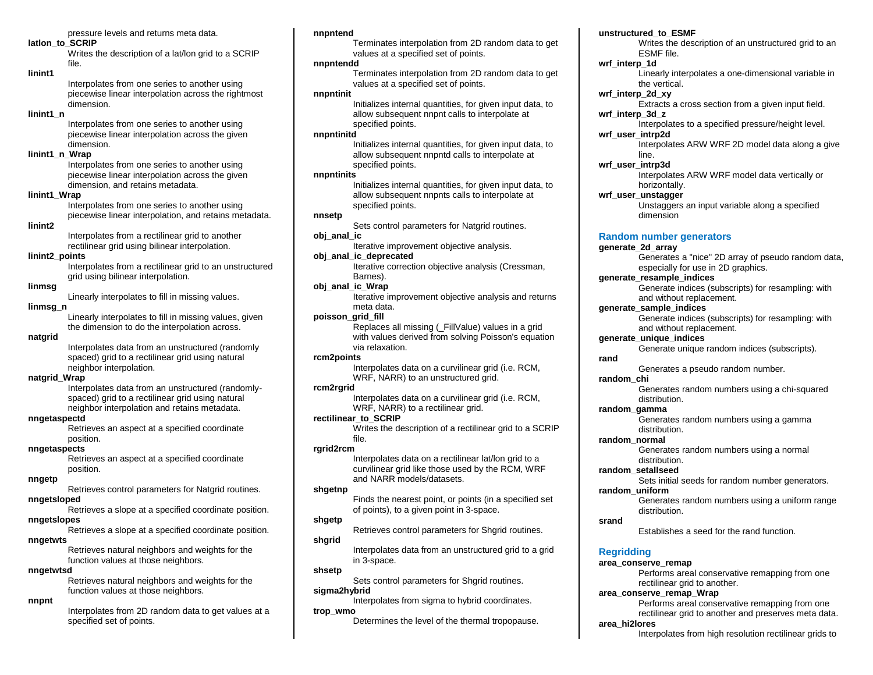pressure levels and returns meta data.

### **latlon\_to\_SCRIP**

Writes the description of a lat/lon grid to a SCRIP file.

### **linint1**

Interpolates from one series to another using piecewise linear interpolation across the rightmost dimension.

## **linint1\_n**

Interpolates from one series to another using piecewise linear interpolation across the given dimension.

## **linint1\_n\_Wrap**

Interpolates from one series to another using piecewise linear interpolation across the given dimension, and retains metadata.

## **linint1\_Wrap**

Interpolates from one series to another using piecewise linear interpolation, and retains metadata.

## **linint2**

Interpolates from a rectilinear grid to another rectilinear grid using bilinear interpolation.

### **linint2\_points**

Interpolates from a rectilinear grid to an unstructured grid using bilinear interpolation.

## **linmsg**

Linearly interpolates to fill in missing values.

## **linmsg\_n**

Linearly interpolates to fill in missing values, given the dimension to do the interpolation across.

## **natgrid**

Interpolates data from an unstructured (randomly spaced) grid to a rectilinear grid using natural neighbor interpolation.

## **natgrid\_Wrap**

Interpolates data from an unstructured (randomlyspaced) grid to a rectilinear grid using natural neighbor interpolation and retains metadata.

## **nngetaspectd**

Retrieves an aspect at a specified coordinate position.

### **nngetaspects**

Retrieves an aspect at a specified coordinate position.

## **nngetp**

Retrieves control parameters for Natgrid routines.

## **nngetsloped**

Retrieves a slope at a specified coordinate position.

## **nngetslopes**

Retrieves a slope at a specified coordinate position.

## **nngetwts**

Retrieves natural neighbors and weights for the function values at those neighbors.

### **nngetwtsd**

Retrieves natural neighbors and weights for the function values at those neighbors.

## **nnpnt**

Interpolates from 2D random data to get values at a specified set of points.

### **nnpntend**

Terminates interpolation from 2D random data to get values at a specified set of points.

### **nnpntendd**

Terminates interpolation from 2D random data to get values at a specified set of points.

## **nnpntinit**

Initializes internal quantities, for given input data, to allow subsequent nnpnt calls to interpolate at specified points.

## **nnpntinitd**

Initializes internal quantities, for given input data, to allow subsequent nnpntd calls to interpolate at specified points.

### **nnpntinits**

Initializes internal quantities, for given input data, to allow subsequent nnpnts calls to interpolate at specified points.

### **nnsetp**

Sets control parameters for Natgrid routines. **obj\_anal\_ic**

Iterative improvement objective analysis.

## **obj\_anal\_ic\_deprecated**

Iterative correction objective analysis (Cressman, Barnes).

## **obj\_anal\_ic\_Wrap**

Iterative improvement objective analysis and returns meta data.

## **poisson\_grid\_fill**

Replaces all missing (\_FillValue) values in a grid with values derived from solving Poisson's equation via relaxation.

### **rcm2points**

Interpolates data on a curvilinear grid (i.e. RCM, WRF, NARR) to an unstructured grid.

## **rcm2rgrid**

Interpolates data on a curvilinear grid (i.e. RCM, WRF, NARR) to a rectilinear grid.

## **rectilinear\_to\_SCRIP**

Writes the description of a rectilinear grid to a SCRIP file.

## **rgrid2rcm**

Interpolates data on a rectilinear lat/lon grid to a curvilinear grid like those used by the RCM, WRF and NARR models/datasets.

## **shgetnp**

Finds the nearest point, or points (in a specified set of points), to a given point in 3-space.

## **shgetp**

Retrieves control parameters for Shgrid routines.

## **shgrid**

Interpolates data from an unstructured grid to a grid in 3-space.

### **shsetp**

Sets control parameters for Shgrid routines.

## **sigma2hybrid**

Interpolates from sigma to hybrid coordinates. **trop\_wmo**

Determines the level of the thermal tropopause.

## **unstructured\_to\_ESMF**

Writes the description of an unstructured grid to an ESMF file.

## **wrf\_interp\_1d**

Linearly interpolates a one-dimensional variable in the vertical.

## **wrf\_interp\_2d\_xy**

Extracts a cross section from a given input field.

## **wrf\_interp\_3d\_z**

Interpolates to a specified pressure/height level.

## **wrf\_user\_intrp2d**

Interpolates ARW WRF 2D model data along a give line.

## **wrf\_user\_intrp3d**

Interpolates ARW WRF model data vertically or horizontally.

## **wrf\_user\_unstagger**

Unstaggers an input variable along a specified dimension

## **Random number generators**

## **generate\_2d\_array**

Generates a "nice" 2D array of pseudo random data, especially for use in 2D graphics.

## **generate\_resample\_indices**

Generate indices (subscripts) for resampling: with and without replacement.

## **generate\_sample\_indices**

Generate indices (subscripts) for resampling: with and without replacement.

Generates random numbers using a chi-squared

Generates random numbers using a gamma

Generates random numbers using a normal

Establishes a seed for the rand function.

rectilinear grid to another.

Sets initial seeds for random number generators.

Generates random numbers using a uniform range

Performs areal conservative remapping from one

Performs areal conservative remapping from one rectilinear grid to another and preserves meta data.

Interpolates from high resolution rectilinear grids to

Generates a pseudo random number.

### **generate\_unique\_indices** Generate unique random indices (subscripts).

distribution.

distribution.

distribution.

distribution.

**area\_conserve\_remap\_Wrap**

**rand**

**random\_chi**

**random\_gamma**

**random\_normal**

**random\_setallseed**

**random\_uniform**

**Regridding**

**area\_hi2lores**

**area\_conserve\_remap**

**srand**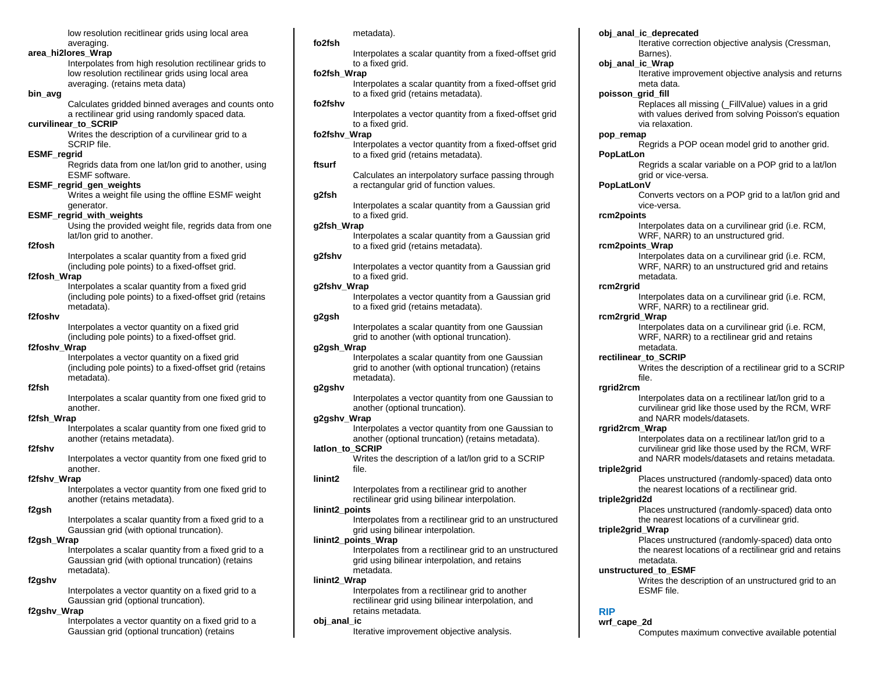low resolution recitlinear grids using local area averaging.

## **area\_hi2lores\_Wrap**

Interpolates from high resolution rectilinear grids to low resolution rectilinear grids using local area averaging. (retains meta data)

### **bin\_avg**

Calculates gridded binned averages and counts onto a rectilinear grid using randomly spaced data.

## **curvilinear\_to\_SCRIP**

Writes the description of a curvilinear grid to a SCRIP file.

## **ESMF\_regrid**

Regrids data from one lat/lon grid to another, using ESMF software.

### **ESMF\_regrid\_gen\_weights**

Writes a weight file using the offline ESMF weight generator.

#### **ESMF\_regrid\_with\_weights**

Using the provided weight file, regrids data from one lat/lon grid to another.

## **f2fosh**

Interpolates a scalar quantity from a fixed grid (including pole points) to a fixed-offset grid.

## **f2fosh\_Wrap**

Interpolates a scalar quantity from a fixed grid (including pole points) to a fixed-offset grid (retains metadata).

## **f2foshv**

Interpolates a vector quantity on a fixed grid (including pole points) to a fixed-offset grid.

## **f2foshv\_Wrap**

Interpolates a vector quantity on a fixed grid (including pole points) to a fixed-offset grid (retains metadata).

## **f2fsh**

Interpolates a scalar quantity from one fixed grid to another.

#### **f2fsh\_Wrap**

Interpolates a scalar quantity from one fixed grid to another (retains metadata).

## **f2fshv**

Interpolates a vector quantity from one fixed grid to another.

### **f2fshv\_Wrap**

Interpolates a vector quantity from one fixed grid to another (retains metadata).

### **f2gsh**

Interpolates a scalar quantity from a fixed grid to a Gaussian grid (with optional truncation).

### **f2gsh\_Wrap**

Interpolates a scalar quantity from a fixed grid to a Gaussian grid (with optional truncation) (retains metadata).

## **f2gshv**

Interpolates a vector quantity on a fixed grid to a Gaussian grid (optional truncation).

### **f2gshv\_Wrap**

Interpolates a vector quantity on a fixed grid to a Gaussian grid (optional truncation) (retains

metadata).

#### **fo2fsh**

Interpolates a scalar quantity from a fixed-offset grid to a fixed grid.

### **fo2fsh\_Wrap**

Interpolates a scalar quantity from a fixed-offset grid to a fixed grid (retains metadata).

## **fo2fshv**

Interpolates a vector quantity from a fixed-offset grid to a fixed grid.

## **fo2fshv\_Wrap**

Interpolates a vector quantity from a fixed-offset grid to a fixed grid (retains metadata).

### **ftsurf**

Calculates an interpolatory surface passing through a rectangular grid of function values.

## **g2fsh**

Interpolates a scalar quantity from a Gaussian grid to a fixed grid.

### **g2fsh\_Wrap**

Interpolates a scalar quantity from a Gaussian grid to a fixed grid (retains metadata).

### **g2fshv**

Interpolates a vector quantity from a Gaussian grid to a fixed grid.

### **g2fshv\_Wrap**

Interpolates a vector quantity from a Gaussian grid to a fixed grid (retains metadata).

### **g2gsh**

Interpolates a scalar quantity from one Gaussian grid to another (with optional truncation).

### **g2gsh\_Wrap**

Interpolates a scalar quantity from one Gaussian grid to another (with optional truncation) (retains metadata).

### **g2gshv**

Interpolates a vector quantity from one Gaussian to another (optional truncation).

## **g2gshv\_Wrap**

Interpolates a vector quantity from one Gaussian to another (optional truncation) (retains metadata).

## **latlon\_to\_SCRIP**

Writes the description of a lat/lon grid to a SCRIP file.

### **linint2**

Interpolates from a rectilinear grid to another rectilinear grid using bilinear interpolation.

### **linint2\_points**

Interpolates from a rectilinear grid to an unstructured grid using bilinear interpolation.

### **linint2\_points\_Wrap**

Interpolates from a rectilinear grid to an unstructured grid using bilinear interpolation, and retains metadata.

### **linint2\_Wrap**

Interpolates from a rectilinear grid to another rectilinear grid using bilinear interpolation, and retains metadata.

#### **obj\_anal\_ic**

Iterative improvement objective analysis.

### **obj\_anal\_ic\_deprecated**

Iterative correction objective analysis (Cressman, Barnes).

#### **obj\_anal\_ic\_Wrap**

Iterative improvement objective analysis and returns meta data.

### **poisson\_grid\_fill**

Replaces all missing (\_FillValue) values in a grid with values derived from solving Poisson's equation via relaxation.

#### **pop\_remap**

Regrids a POP ocean model grid to another grid. **PopLatLon**

Regrids a scalar variable on a POP grid to a lat/lon grid or vice-versa.

#### **PopLatLonV**

Converts vectors on a POP grid to a lat/lon grid and vice-versa.

### **rcm2points**

Interpolates data on a curvilinear grid (i.e. RCM, WRF, NARR) to an unstructured grid.

## **rcm2points\_Wrap**

Interpolates data on a curvilinear grid (i.e. RCM, WRF, NARR) to an unstructured grid and retains metadata.

### **rcm2rgrid**

Interpolates data on a curvilinear grid (i.e. RCM, WRF, NARR) to a rectilinear grid.

### **rcm2rgrid\_Wrap**

Interpolates data on a curvilinear grid (i.e. RCM, WRF, NARR) to a rectilinear grid and retains metadata.

### **rectilinear\_to\_SCRIP**

Writes the description of a rectilinear grid to a SCRIP file.

### **rgrid2rcm**

**triple2grid**

**triple2grid2d**

**RIP wrf\_cape\_2d**

**triple2grid\_Wrap**

metadata. **unstructured\_to\_ESMF**

ESMF file.

Interpolates data on a rectilinear lat/lon grid to a curvilinear grid like those used by the RCM, WRF and NARR models/datasets.

Interpolates data on a rectilinear lat/lon grid to a curvilinear grid like those used by the RCM, WRF and NARR models/datasets and retains metadata.

Places unstructured (randomly-spaced) data onto the nearest locations of a rectilinear grid.

Places unstructured (randomly-spaced) data onto the nearest locations of a curvilinear grid.

Places unstructured (randomly-spaced) data onto the nearest locations of a rectilinear grid and retains

Writes the description of an unstructured grid to an

Computes maximum convective available potential

### **rgrid2rcm\_Wrap**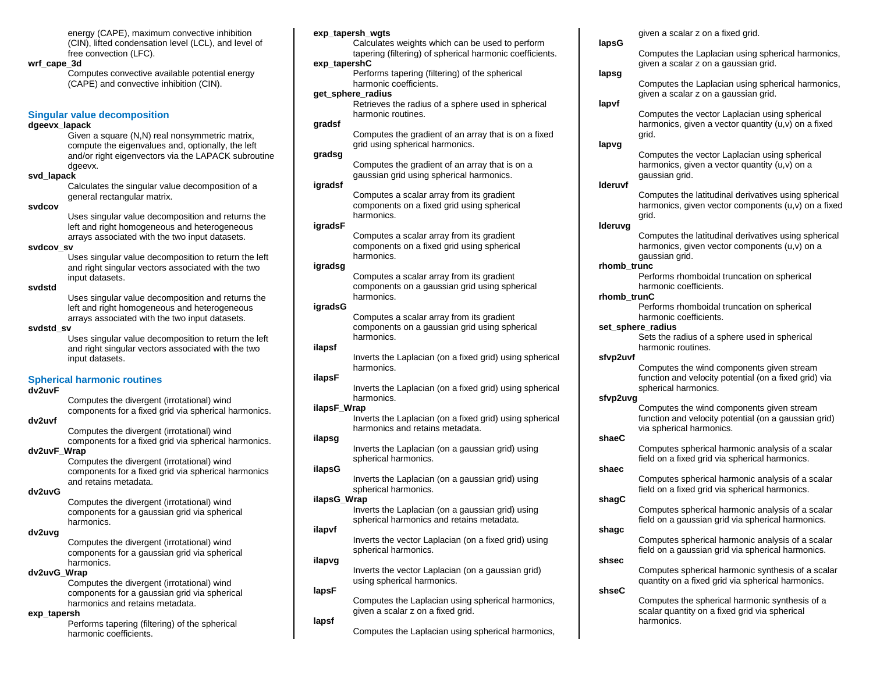energy (CAPE), maximum convective inhibition (CIN), lifted condensation level (LCL), and level of free convection (LFC).

#### **wrf\_cape\_3d**

Computes convective available potential energy (CAPE) and convective inhibition (CIN).

### **Singular value decomposition**

#### **dgeevx\_lapack**

Given a square (N,N) real nonsymmetric matrix, compute the eigenvalues and, optionally, the left and/or right eigenvectors via the LAPACK subroutine dgeevx.

### **svd\_lapack**

Calculates the singular value decomposition of a general rectangular matrix.

#### **svdcov**

Uses singular value decomposition and returns the left and right homogeneous and heterogeneous arrays associated with the two input datasets.

### **svdcov\_sv**

Uses singular value decomposition to return the left and right singular vectors associated with the two input datasets.

#### **svdstd**

Uses singular value decomposition and returns the left and right homogeneous and heterogeneous arrays associated with the two input datasets.

### **svdstd\_sv**

Uses singular value decomposition to return the left and right singular vectors associated with the two input datasets.

### **Spherical harmonic routines**

### **dv2uvF**

Computes the divergent (irrotational) wind components for a fixed grid via spherical harmonics.

## **dv2uvf**

Computes the divergent (irrotational) wind components for a fixed grid via spherical harmonics.

## **dv2uvF\_Wrap**

Computes the divergent (irrotational) wind components for a fixed grid via spherical harmonics and retains metadata.

### **dv2uvG**

Computes the divergent (irrotational) wind components for a gaussian grid via spherical harmonics.

## **dv2uvg**

Computes the divergent (irrotational) wind components for a gaussian grid via spherical harmonics.

## **dv2uvG\_Wrap**

Computes the divergent (irrotational) wind components for a gaussian grid via spherical harmonics and retains metadata.

#### **exp\_tapersh**

Performs tapering (filtering) of the spherical harmonic coefficients.

### **exp\_tapersh\_wgts**

Calculates weights which can be used to perform tapering (filtering) of spherical harmonic coefficients. **exp\_tapershC**

Performs tapering (filtering) of the spherical harmonic coefficients.

## **get\_sphere\_radius**

Retrieves the radius of a sphere used in spherical harmonic routines.

## **gradsf**

Computes the gradient of an array that is on a fixed grid using spherical harmonics.

### **gradsg**

Computes the gradient of an array that is on a gaussian grid using spherical harmonics.

### **igradsf**

Computes a scalar array from its gradient components on a fixed grid using spherical harmonics.

## **igradsF**

Computes a scalar array from its gradient components on a fixed grid using spherical harmonics.

## **igradsg**

Computes a scalar array from its gradient components on a gaussian grid using spherical harmonics.

## **igradsG**

Computes a scalar array from its gradient components on a gaussian grid using spherical harmonics.

### **ilapsf**

Inverts the Laplacian (on a fixed grid) using spherical harmonics.

## **ilapsF**

Inverts the Laplacian (on a fixed grid) using spherical harmonics.

### **ilapsF\_Wrap**

Inverts the Laplacian (on a fixed grid) using spherical harmonics and retains metadata.

#### **ilapsg**

Inverts the Laplacian (on a gaussian grid) using spherical harmonics.

### **ilapsG**

Inverts the Laplacian (on a gaussian grid) using spherical harmonics.

### **ilapsG\_Wrap**

Inverts the Laplacian (on a gaussian grid) using spherical harmonics and retains metadata.

### **ilapvf**

Inverts the vector Laplacian (on a fixed grid) using spherical harmonics.

## **ilapvg**

Inverts the vector Laplacian (on a gaussian grid) using spherical harmonics.

## **lapsF**

Computes the Laplacian using spherical harmonics, given a scalar z on a fixed grid. **lapsf**

### Computes the Laplacian using spherical harmonics,

given a scalar z on a fixed grid.

### **lapsG**

Computes the Laplacian using spherical harmonics, given a scalar z on a gaussian grid.

### **lapsg**

Computes the Laplacian using spherical harmonics, given a scalar z on a gaussian grid.

## **lapvf**

Computes the vector Laplacian using spherical harmonics, given a vector quantity (u,v) on a fixed grid.

### **lapvg**

Computes the vector Laplacian using spherical harmonics, given a vector quantity (u,v) on a gaussian grid.

### **lderuvf**

Computes the latitudinal derivatives using spherical harmonics, given vector components (u,v) on a fixed grid.

## **lderuvg**

Computes the latitudinal derivatives using spherical harmonics, given vector components (u,v) on a gaussian grid.

#### **rhomb\_trunc**

Performs rhomboidal truncation on spherical harmonic coefficients.

### **rhomb\_trunC**

Performs rhomboidal truncation on spherical harmonic coefficients.

### **set\_sphere\_radius**

Sets the radius of a sphere used in spherical harmonic routines.

## **sfvp2uvf**

Computes the wind components given stream function and velocity potential (on a fixed grid) via spherical harmonics.

### **sfvp2uvg**

Computes the wind components given stream function and velocity potential (on a gaussian grid) via spherical harmonics.

#### **shaeC**

Computes spherical harmonic analysis of a scalar field on a fixed grid via spherical harmonics.

## **shaec**

Computes spherical harmonic analysis of a scalar field on a fixed grid via spherical harmonics.

## **shagC**

Computes spherical harmonic analysis of a scalar field on a gaussian grid via spherical harmonics.

## Computes spherical harmonic analysis of a scalar field on a gaussian grid via spherical harmonics.

## **shsec**

**shseC**

harmonics.

**shagc**

Computes spherical harmonic synthesis of a scalar quantity on a fixed grid via spherical harmonics.

Computes the spherical harmonic synthesis of a scalar quantity on a fixed grid via spherical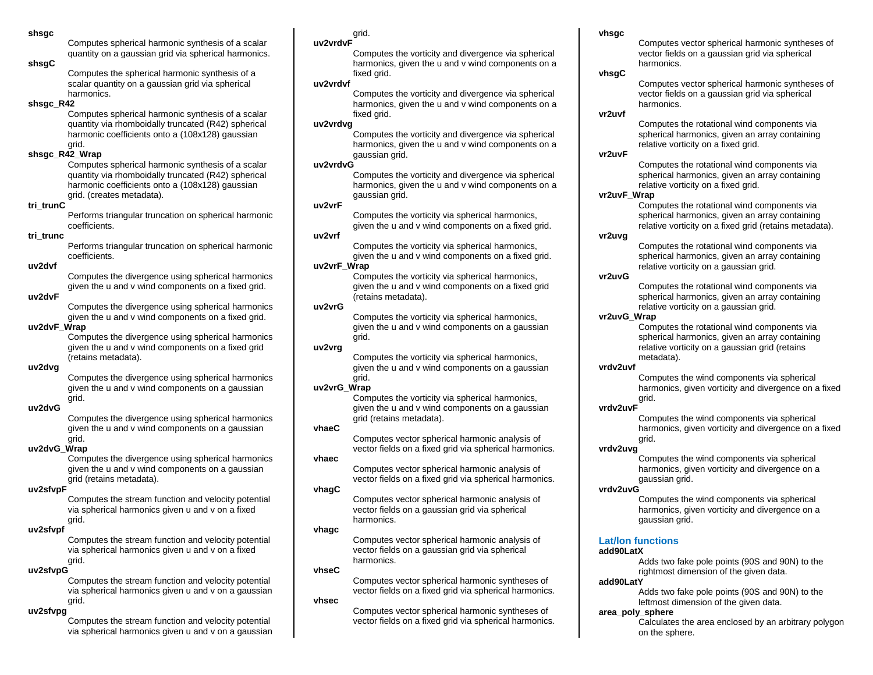**shsgc**

Computes spherical harmonic synthesis of a scalar quantity on a gaussian grid via spherical harmonics.

### **shsgC**

Computes the spherical harmonic synthesis of a scalar quantity on a gaussian grid via spherical harmonics.

## **shsgc\_R42**

Computes spherical harmonic synthesis of a scalar quantity via rhomboidally truncated (R42) spherical harmonic coefficients onto a (108x128) gaussian grid.

## **shsgc\_R42\_Wrap**

Computes spherical harmonic synthesis of a scalar quantity via rhomboidally truncated (R42) spherical harmonic coefficients onto a (108x128) gaussian grid. (creates metadata).

### **tri\_trunC**

Performs triangular truncation on spherical harmonic coefficients.

## **tri\_trunc**

Performs triangular truncation on spherical harmonic coefficients.

## **uv2dvf**

Computes the divergence using spherical harmonics given the u and v wind components on a fixed grid.

### **uv2dvF**

Computes the divergence using spherical harmonics given the u and v wind components on a fixed grid.

## **uv2dvF\_Wrap**

Computes the divergence using spherical harmonics given the u and v wind components on a fixed grid (retains metadata).

## **uv2dvg**

Computes the divergence using spherical harmonics given the u and v wind components on a gaussian grid.

## **uv2dvG**

Computes the divergence using spherical harmonics given the u and v wind components on a gaussian grid.

## **uv2dvG\_Wrap**

Computes the divergence using spherical harmonics given the u and v wind components on a gaussian grid (retains metadata).

## **uv2sfvpF**

Computes the stream function and velocity potential via spherical harmonics given u and v on a fixed grid.

## **uv2sfvpf**

Computes the stream function and velocity potential via spherical harmonics given u and v on a fixed grid.

## **uv2sfvpG**

Computes the stream function and velocity potential via spherical harmonics given u and v on a gaussian grid.

## **uv2sfvpg**

Computes the stream function and velocity potential via spherical harmonics given u and v on a gaussian

## grid.

### **uv2vrdvF**

Computes the vorticity and divergence via spherical harmonics, given the u and v wind components on a fixed arid.

## **uv2vrdvf**

Computes the vorticity and divergence via spherical harmonics, given the u and v wind components on a fixed arid.

## **uv2vrdvg**

Computes the vorticity and divergence via spherical harmonics, given the u and v wind components on a gaussian grid.

## **uv2vrdvG**

Computes the vorticity and divergence via spherical harmonics, given the u and v wind components on a gaussian grid.

## **uv2vrF**

Computes the vorticity via spherical harmonics, given the u and v wind components on a fixed grid.

## **uv2vrf**

Computes the vorticity via spherical harmonics, given the u and v wind components on a fixed grid. **uv2vrF\_Wrap**

> Computes the vorticity via spherical harmonics, given the u and v wind components on a fixed grid (retains metadata).

## **uv2vrG**

Computes the vorticity via spherical harmonics, given the u and v wind components on a gaussian grid.

## **uv2vrg**

Computes the vorticity via spherical harmonics, given the u and v wind components on a gaussian grid.

## **uv2vrG\_Wrap**

Computes the vorticity via spherical harmonics, given the u and v wind components on a gaussian grid (retains metadata).

## **vhaeC**

Computes vector spherical harmonic analysis of vector fields on a fixed grid via spherical harmonics.

## **vhaec**

Computes vector spherical harmonic analysis of vector fields on a fixed grid via spherical harmonics.

## **vhagC**

Computes vector spherical harmonic analysis of vector fields on a gaussian grid via spherical harmonics.

## **vhagc**

Computes vector spherical harmonic analysis of vector fields on a gaussian grid via spherical harmonics.

## **vhseC**

Computes vector spherical harmonic syntheses of vector fields on a fixed grid via spherical harmonics.

## **vhsec**

Computes vector spherical harmonic syntheses of vector fields on a fixed grid via spherical harmonics.

## **vhsgc**

Computes vector spherical harmonic syntheses of vector fields on a gaussian grid via spherical harmonics.

## **vhsgC**

Computes vector spherical harmonic syntheses of vector fields on a gaussian grid via spherical harmonics.

## **vr2uvf**

Computes the rotational wind components via spherical harmonics, given an array containing relative vorticity on a fixed grid.

## **vr2uvF**

Computes the rotational wind components via spherical harmonics, given an array containing relative vorticity on a fixed grid.

## **vr2uvF\_Wrap**

Computes the rotational wind components via spherical harmonics, given an array containing relative vorticity on a fixed grid (retains metadata).

## **vr2uvg**

Computes the rotational wind components via spherical harmonics, given an array containing relative vorticity on a gaussian grid.

## **vr2uvG**

Computes the rotational wind components via spherical harmonics, given an array containing relative vorticity on a gaussian grid.

## **vr2uvG\_Wrap**

Computes the rotational wind components via spherical harmonics, given an array containing relative vorticity on a gaussian grid (retains metadata).

## **vrdv2uvf**

Computes the wind components via spherical harmonics, given vorticity and divergence on a fixed grid.

## **vrdv2uvF**

Computes the wind components via spherical harmonics, given vorticity and divergence on a fixed grid.

## **vrdv2uvg**

Computes the wind components via spherical harmonics, given vorticity and divergence on a gaussian grid.

## **vrdv2uvG**

Computes the wind components via spherical harmonics, given vorticity and divergence on a gaussian grid.

## **Lat/lon functions**

## **add90LatX**

Adds two fake pole points (90S and 90N) to the rightmost dimension of the given data.

## **add90LatY**

Adds two fake pole points (90S and 90N) to the leftmost dimension of the given data.

## **area\_poly\_sphere**

Calculates the area enclosed by an arbitrary polygon on the sphere.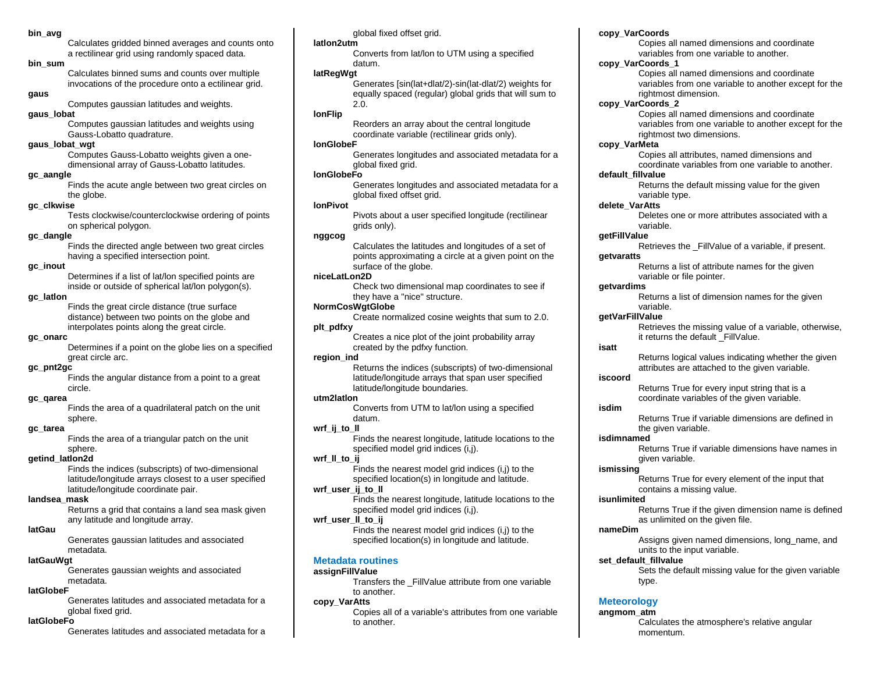### **bin\_avg**

Calculates gridded binned averages and counts onto a rectilinear grid using randomly spaced data.

### **bin\_sum**

Calculates binned sums and counts over multiple invocations of the procedure onto a ectilinear grid.

## **gaus**

Computes gaussian latitudes and weights.

## **gaus\_lobat**

Computes gaussian latitudes and weights using Gauss-Lobatto quadrature.

### **gaus\_lobat\_wgt**

Computes Gauss-Lobatto weights given a onedimensional array of Gauss-Lobatto latitudes.

### **gc\_aangle**

Finds the acute angle between two great circles on the globe.

## **gc\_clkwise**

Tests clockwise/counterclockwise ordering of points on spherical polygon.

## **gc\_dangle**

Finds the directed angle between two great circles having a specified intersection point.

### **gc\_inout**

Determines if a list of lat/lon specified points are inside or outside of spherical lat/lon polygon(s).

### **gc\_latlon**

Finds the great circle distance (true surface distance) between two points on the globe and interpolates points along the great circle.

## **gc\_onarc**

Determines if a point on the globe lies on a specified great circle arc.

### **gc\_pnt2gc**

Finds the angular distance from a point to a great circle.

### **gc\_qarea**

Finds the area of a quadrilateral patch on the unit sphere.

### **gc\_tarea**

Finds the area of a triangular patch on the unit sphere.

### **getind\_latlon2d**

Finds the indices (subscripts) of two-dimensional latitude/longitude arrays closest to a user specified latitude/longitude coordinate pair.

### **landsea\_mask**

Returns a grid that contains a land sea mask given any latitude and longitude array.

#### **latGau**

Generates gaussian latitudes and associated metadata.

### **latGauWgt**

Generates gaussian weights and associated metadata.

## **latGlobeF**

Generates latitudes and associated metadata for a global fixed grid.

### **latGlobeFo**

Generates latitudes and associated metadata for a

### global fixed offset grid.

### **latlon2utm**

Converts from lat/lon to UTM using a specified datum.

### **latRegWgt**

Generates [sin(lat+dlat/2)-sin(lat-dlat/2) weights for equally spaced (regular) global grids that will sum to 2.0.

## **lonFlip**

Reorders an array about the central longitude coordinate variable (rectilinear grids only).

### **lonGlobeF**

Generates longitudes and associated metadata for a global fixed grid.

### **lonGlobeFo**

Generates longitudes and associated metadata for a global fixed offset grid.

## **lonPivot**

Pivots about a user specified longitude (rectilinear grids only).

## **nggcog**

Calculates the latitudes and longitudes of a set of points approximating a circle at a given point on the surface of the globe.

## **niceLatLon2D**

Check two dimensional map coordinates to see if they have a "nice" structure.

## **NormCosWgtGlobe**

Create normalized cosine weights that sum to 2.0. **plt\_pdfxy**

> Creates a nice plot of the joint probability array created by the pdfxy function.

### **region\_ind**

Returns the indices (subscripts) of two-dimensional latitude/longitude arrays that span user specified latitude/longitude boundaries.

## **utm2latlon**

Converts from UTM to lat/lon using a specified datum.

### **wrf\_ij\_to\_ll**

Finds the nearest longitude, latitude locations to the specified model grid indices (i,j).

### **wrf\_ll\_to\_ij**

Finds the nearest model grid indices (i,j) to the specified location(s) in longitude and latitude.

## **wrf\_user\_ij\_to\_ll**

Finds the nearest longitude, latitude locations to the specified model grid indices (i,j).

### **wrf\_user\_ll\_to\_ij**

Finds the nearest model grid indices (i,j) to the specified location(s) in longitude and latitude.

## **Metadata routines**

### **assignFillValue**

Transfers the \_FillValue attribute from one variable to another.

## **copy\_VarAtts**

Copies all of a variable's attributes from one variable to another.

## **copy\_VarCoords**

Copies all named dimensions and coordinate variables from one variable to another.

### **copy\_VarCoords\_1**

Copies all named dimensions and coordinate variables from one variable to another except for the rightmost dimension.

### **copy\_VarCoords\_2**

Copies all named dimensions and coordinate variables from one variable to another except for the rightmost two dimensions.

## **copy\_VarMeta**

Copies all attributes, named dimensions and coordinate variables from one variable to another.

## **default\_fillvalue**

Returns the default missing value for the given variable type.

## **delete\_VarAtts**

Deletes one or more attributes associated with a variable.

### **getFillValue**

Retrieves the FillValue of a variable, if present.

### **getvaratts**

Returns a list of attribute names for the given variable or file pointer.

### **getvardims**

Returns a list of dimension names for the given variable.

### **getVarFillValue**

Retrieves the missing value of a variable, otherwise, it returns the default FillValue.

### **isatt**

**isdim**

Returns logical values indicating whether the given attributes are attached to the given variable.

Returns True if variable dimensions are defined in

Returns True if variable dimensions have names in

Returns True if the given dimension name is defined

Assigns given named dimensions, long name, and

Sets the default missing value for the given variable

Calculates the atmosphere's relative angular

Returns True for every element of the input that

Returns True for every input string that is a coordinate variables of the given variable.

the given variable.

contains a missing value.

as unlimited on the given file.

units to the input variable.

given variable.

### **iscoord**

**isdimnamed**

**ismissing**

**isunlimited**

**nameDim**

**set\_default\_fillvalue**

**Meteorology angmom\_atm**

type.

momentum.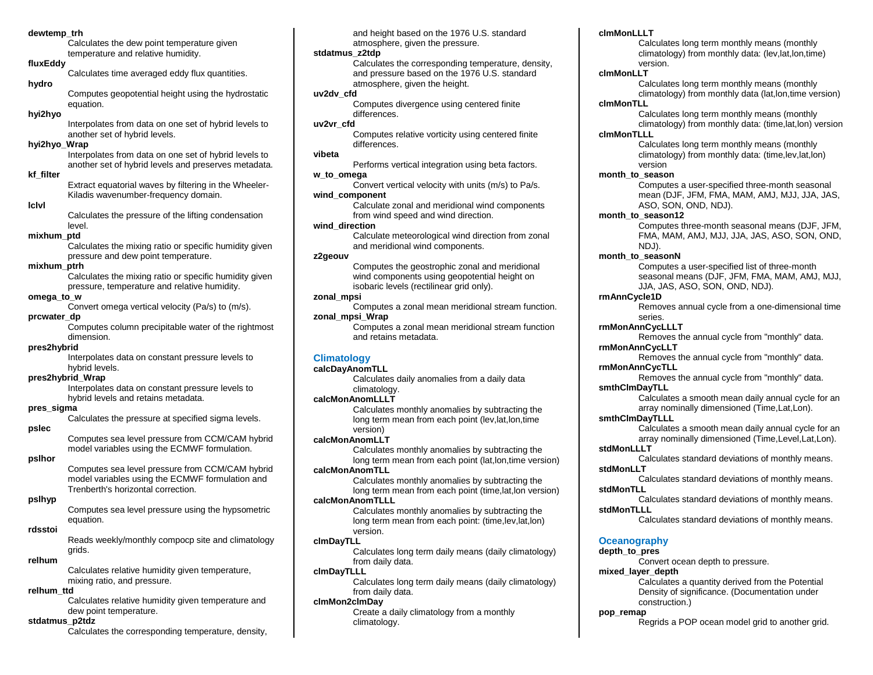#### **dewtemp\_trh**

Calculates the dew point temperature given temperature and relative humidity.

### **fluxEddy**

Calculates time averaged eddy flux quantities.

### **hydro**

Computes geopotential height using the hydrostatic equation.

## **hyi2hyo**

Interpolates from data on one set of hybrid levels to another set of hybrid levels.

### **hyi2hyo\_Wrap**

Interpolates from data on one set of hybrid levels to another set of hybrid levels and preserves metadata.

## **kf\_filter**

Extract equatorial waves by filtering in the Wheeler-Kiladis wavenumber-frequency domain.

#### **lclvl**

Calculates the pressure of the lifting condensation level.

### **mixhum\_ptd**

Calculates the mixing ratio or specific humidity given pressure and dew point temperature.

### **mixhum\_ptrh**

Calculates the mixing ratio or specific humidity given pressure, temperature and relative humidity.

### **omega\_to\_w**

Convert omega vertical velocity (Pa/s) to (m/s).

### **prcwater\_dp**

Computes column precipitable water of the rightmost dimension.

### **pres2hybrid**

Interpolates data on constant pressure levels to hybrid levels.

### **pres2hybrid\_Wrap**

Interpolates data on constant pressure levels to hybrid levels and retains metadata.

### **pres\_sigma**

Calculates the pressure at specified sigma levels.

### **pslec**

Computes sea level pressure from CCM/CAM hybrid model variables using the ECMWF formulation.

### **pslhor**

Computes sea level pressure from CCM/CAM hybrid model variables using the ECMWF formulation and Trenberth's horizontal correction.

### **pslhyp**

Computes sea level pressure using the hypsometric equation.

#### **rdsstoi**

Reads weekly/monthly compocp site and climatology grids.

## **relhum**

Calculates relative humidity given temperature, mixing ratio, and pressure.

### **relhum\_ttd**

Calculates relative humidity given temperature and dew point temperature.

### **stdatmus\_p2tdz**

Calculates the corresponding temperature, density,

and height based on the 1976 U.S. standard atmosphere, given the pressure.

## **stdatmus\_z2tdp**

Calculates the corresponding temperature, density, and pressure based on the 1976 U.S. standard atmosphere, given the height.

## **uv2dv\_cfd**

Computes divergence using centered finite differences.

## **uv2vr\_cfd**

Computes relative vorticity using centered finite differences.

## **vibeta**

Performs vertical integration using beta factors.

## **w\_to\_omega**

Convert vertical velocity with units (m/s) to Pa/s. **wind\_component**

Calculate zonal and meridional wind components from wind speed and wind direction.

## **wind\_direction**

Calculate meteorological wind direction from zonal and meridional wind components.

### **z2geouv**

Computes the geostrophic zonal and meridional wind components using geopotential height on isobaric levels (rectilinear grid only).

### **zonal\_mpsi**

Computes a zonal mean meridional stream function. **zonal\_mpsi\_Wrap**

Computes a zonal mean meridional stream function and retains metadata.

## **Climatology**

### **calcDayAnomTLL**

Calculates daily anomalies from a daily data climatology.

## **calcMonAnomLLLT**

Calculates monthly anomalies by subtracting the long term mean from each point (lev,lat,lon,time version)

### **calcMonAnomLLT**

Calculates monthly anomalies by subtracting the long term mean from each point (lat,lon,time version)

## **calcMonAnomTLL**

Calculates monthly anomalies by subtracting the long term mean from each point (time,lat,lon version)

## **calcMonAnomTLLL**

Calculates monthly anomalies by subtracting the long term mean from each point: (time,lev,lat,lon) version.

#### **clmDayTLL**

Calculates long term daily means (daily climatology) from daily data.

### **clmDayTLLL**

Calculates long term daily means (daily climatology) from daily data.

## **clmMon2clmDay**

Create a daily climatology from a monthly climatology.

### **clmMonLLLT**

Calculates long term monthly means (monthly climatology) from monthly data: (lev,lat,lon,time) version.

#### **clmMonLLT**

Calculates long term monthly means (monthly climatology) from monthly data (lat,lon,time version)

## **clmMonTLL**

Calculates long term monthly means (monthly climatology) from monthly data: (time,lat,lon) version

## **clmMonTLLL**

Calculates long term monthly means (monthly climatology) from monthly data: (time,lev,lat,lon) version

### **month\_to\_season**

Computes a user-specified three-month seasonal mean (DJF, JFM, FMA, MAM, AMJ, MJJ, JJA, JAS, ASO, SON, OND, NDJ).

### month\_to\_season12

Computes three-month seasonal means (DJF, JFM, FMA, MAM, AMJ, MJJ, JJA, JAS, ASO, SON, OND, NDJ).

**month\_to\_seasonN**

Computes a user-specified list of three-month seasonal means (DJF, JFM, FMA, MAM, AMJ, MJJ, JJA, JAS, ASO, SON, OND, NDJ).

### **rmAnnCycle1D**

Removes annual cycle from a one-dimensional time series.

### **rmMonAnnCycLLLT**

Removes the annual cycle from "monthly" data. **rmMonAnnCycLLT**

Removes the annual cycle from "monthly" data.

## **rmMonAnnCycTLL**

**smthClmDayTLLL**

**stdMonLLLT**

**stdMonLLT**

**stdMonTLL**

**stdMonTLLL**

**pop\_remap**

**Oceanography depth\_to\_pres**

**mixed\_layer\_depth**

construction.)

Removes the annual cycle from "monthly" data. **smthClmDayTLL**

> Calculates a smooth mean daily annual cycle for an array nominally dimensioned (Time,Lat,Lon).

> Calculates a smooth mean daily annual cycle for an array nominally dimensioned (Time,Level,Lat,Lon).

Calculates standard deviations of monthly means.

Calculates standard deviations of monthly means.

Calculates standard deviations of monthly means.

Calculates standard deviations of monthly means.

Calculates a quantity derived from the Potential Density of significance. (Documentation under

Regrids a POP ocean model grid to another grid.

Convert ocean depth to pressure.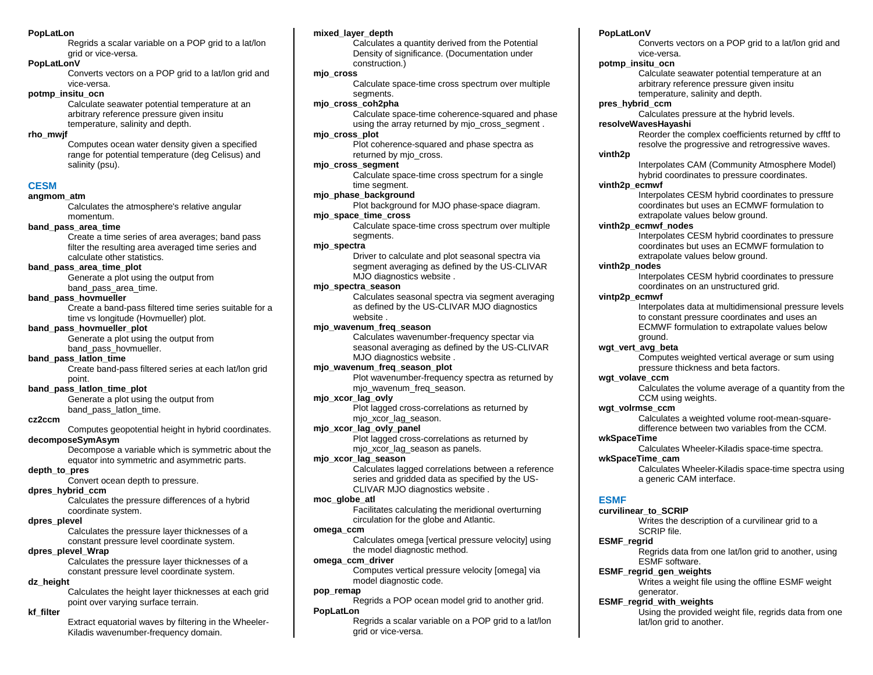### **PopLatLon**

Regrids a scalar variable on a POP grid to a lat/lon grid or vice-versa.

### **PopLatLonV**

Converts vectors on a POP grid to a lat/lon grid and vice-versa.

### **potmp\_insitu\_ocn**

Calculate seawater potential temperature at an arbitrary reference pressure given insitu temperature, salinity and depth.

### **rho\_mwjf**

Computes ocean water density given a specified range for potential temperature (deg Celisus) and salinity (psu).

## **CESM**

### **angmom\_atm**

Calculates the atmosphere's relative angular momentum.

## **band\_pass\_area\_time**

Create a time series of area averages; band pass filter the resulting area averaged time series and calculate other statistics.

## **band\_pass\_area\_time\_plot**

Generate a plot using the output from band pass area time.

## **band\_pass\_hovmueller**

Create a band-pass filtered time series suitable for a time vs longitude (Hovmueller) plot.

### **band\_pass\_hovmueller\_plot**

Generate a plot using the output from band pass hovmueller.

### **band\_pass\_latlon\_time**

Create band-pass filtered series at each lat/lon grid point.

### **band\_pass\_latlon\_time\_plot**

Generate a plot using the output from band\_pass\_latlon\_time.

## **cz2ccm**

Computes geopotential height in hybrid coordinates.

## **decomposeSymAsym**

Decompose a variable which is symmetric about the equator into symmetric and asymmetric parts.

## **depth\_to\_pres**

Convert ocean depth to pressure.

## **dpres\_hybrid\_ccm**

Calculates the pressure differences of a hybrid coordinate system.

### **dpres\_plevel**

Calculates the pressure layer thicknesses of a constant pressure level coordinate system.

### **dpres\_plevel\_Wrap**

Calculates the pressure layer thicknesses of a constant pressure level coordinate system.

### **dz\_height**

Calculates the height layer thicknesses at each grid point over varying surface terrain.

## **kf\_filter**

Extract equatorial waves by filtering in the Wheeler-Kiladis wavenumber-frequency domain.

### **mixed\_layer\_depth**

Calculates a quantity derived from the Potential Density of significance. (Documentation under construction.)

### **mjo\_cross**

Calculate space-time cross spectrum over multiple segments.

## **mjo\_cross\_coh2pha**

Calculate space-time coherence-squared and phase using the array returned by mjo\_cross\_segment .

## **mjo\_cross\_plot**

Plot coherence-squared and phase spectra as returned by mio\_cross.

## **mjo\_cross\_segment**

Calculate space-time cross spectrum for a single time segment.

## **mjo\_phase\_background**

Plot background for MJO phase-space diagram.

## **mjo\_space\_time\_cross**

Calculate space-time cross spectrum over multiple segments.

### **mjo\_spectra**

Driver to calculate and plot seasonal spectra via segment averaging as defined by the US-CLIVAR MJO diagnostics website .

### **mjo\_spectra\_season**

Calculates seasonal spectra via segment averaging as defined by the US-CLIVAR MJO diagnostics website .

### **mjo\_wavenum\_freq\_season**

Calculates wavenumber-frequency spectar via seasonal averaging as defined by the US-CLIVAR MJO diagnostics website .

## **mjo\_wavenum\_freq\_season\_plot**

Plot wavenumber-frequency spectra as returned by mio\_wavenum\_freq\_season.

### **mjo\_xcor\_lag\_ovly**

Plot lagged cross-correlations as returned by mio xcor lag season.

### **mjo\_xcor\_lag\_ovly\_panel**

Plot lagged cross-correlations as returned by mjo\_xcor\_lag\_season as panels.

### **mjo\_xcor\_lag\_season**

Calculates lagged correlations between a reference series and gridded data as specified by the US-CLIVAR MJO diagnostics website .

## **moc\_globe\_atl**

Facilitates calculating the meridional overturning circulation for the globe and Atlantic.

### **omega\_ccm**

Calculates omega [vertical pressure velocity] using the model diagnostic method.

## **omega\_ccm\_driver**

Computes vertical pressure velocity [omega] via model diagnostic code.

## **pop\_remap**

Regrids a POP ocean model grid to another grid. **PopLatLon**

Regrids a scalar variable on a POP grid to a lat/lon grid or vice-versa.

## **PopLatLonV**

Converts vectors on a POP grid to a lat/lon grid and vice-versa.

### **potmp\_insitu\_ocn**

Calculate seawater potential temperature at an arbitrary reference pressure given insitu temperature, salinity and depth.

### **pres\_hybrid\_ccm**

Calculates pressure at the hybrid levels.

## **resolveWavesHayashi**

Reorder the complex coefficients returned by cfftf to resolve the progressive and retrogressive waves.

### **vinth2p**

Interpolates CAM (Community Atmosphere Model) hybrid coordinates to pressure coordinates.

## **vinth2p\_ecmwf**

Interpolates CESM hybrid coordinates to pressure coordinates but uses an ECMWF formulation to extrapolate values below ground.

### **vinth2p\_ecmwf\_nodes**

Interpolates CESM hybrid coordinates to pressure coordinates but uses an ECMWF formulation to extrapolate values below ground.

### **vinth2p\_nodes**

Interpolates CESM hybrid coordinates to pressure coordinates on an unstructured grid.

### **vintp2p\_ecmwf**

Interpolates data at multidimensional pressure levels to constant pressure coordinates and uses an ECMWF formulation to extrapolate values below ground.

**wgt\_vert\_avg\_beta**

Computes weighted vertical average or sum using pressure thickness and beta factors.

### **wgt\_volave\_ccm**

Calculates the volume average of a quantity from the CCM using weights.

### **wgt\_volrmse\_ccm**

**wkSpaceTime\_cam**

**curvilinear\_to\_SCRIP**

SCRIP file.

generator. **ESMF\_regrid\_with\_weights**

ESMF software. **ESMF\_regrid\_gen\_weights**

lat/lon grid to another.

**ESMF**

**ESMF\_regrid**

Calculates a weighted volume root-mean-squaredifference between two variables from the CCM. **wkSpaceTime**

Calculates Wheeler-Kiladis space-time spectra.

Writes the description of a curvilinear grid to a

Regrids data from one lat/lon grid to another, using

Writes a weight file using the offline ESMF weight

Using the provided weight file, regrids data from one

a generic CAM interface.

Calculates Wheeler-Kiladis space-time spectra using